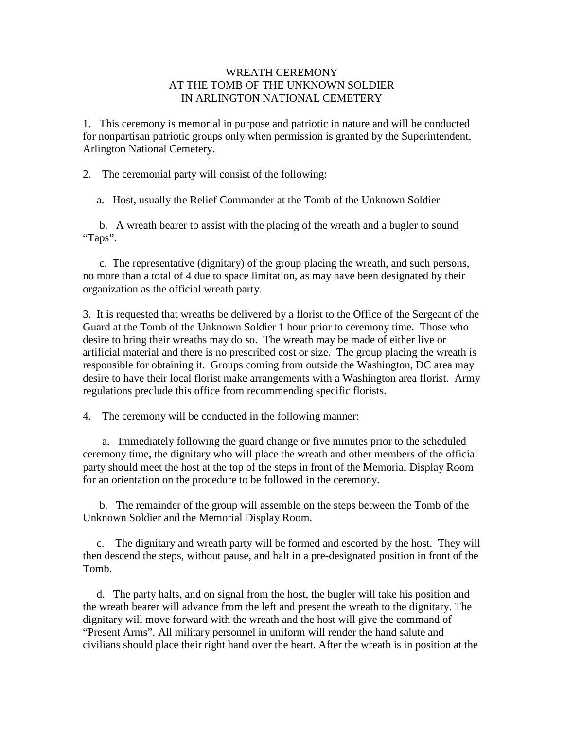## WREATH CEREMONY AT THE TOMB OF THE UNKNOWN SOLDIER IN ARLINGTON NATIONAL CEMETERY

1. This ceremony is memorial in purpose and patriotic in nature and will be conducted for nonpartisan patriotic groups only when permission is granted by the Superintendent, Arlington National Cemetery.

2. The ceremonial party will consist of the following:

a. Host, usually the Relief Commander at the Tomb of the Unknown Soldier

 b. A wreath bearer to assist with the placing of the wreath and a bugler to sound "Taps".

 c. The representative (dignitary) of the group placing the wreath, and such persons, no more than a total of 4 due to space limitation, as may have been designated by their organization as the official wreath party.

3. It is requested that wreaths be delivered by a florist to the Office of the Sergeant of the Guard at the Tomb of the Unknown Soldier 1 hour prior to ceremony time. Those who desire to bring their wreaths may do so. The wreath may be made of either live or artificial material and there is no prescribed cost or size. The group placing the wreath is responsible for obtaining it. Groups coming from outside the Washington, DC area may desire to have their local florist make arrangements with a Washington area florist. Army regulations preclude this office from recommending specific florists.

4. The ceremony will be conducted in the following manner:

 a. Immediately following the guard change or five minutes prior to the scheduled ceremony time, the dignitary who will place the wreath and other members of the official party should meet the host at the top of the steps in front of the Memorial Display Room for an orientation on the procedure to be followed in the ceremony.

 b. The remainder of the group will assemble on the steps between the Tomb of the Unknown Soldier and the Memorial Display Room.

 c. The dignitary and wreath party will be formed and escorted by the host. They will then descend the steps, without pause, and halt in a pre-designated position in front of the Tomb.

 d. The party halts, and on signal from the host, the bugler will take his position and the wreath bearer will advance from the left and present the wreath to the dignitary. The dignitary will move forward with the wreath and the host will give the command of "Present Arms". All military personnel in uniform will render the hand salute and civilians should place their right hand over the heart. After the wreath is in position at the